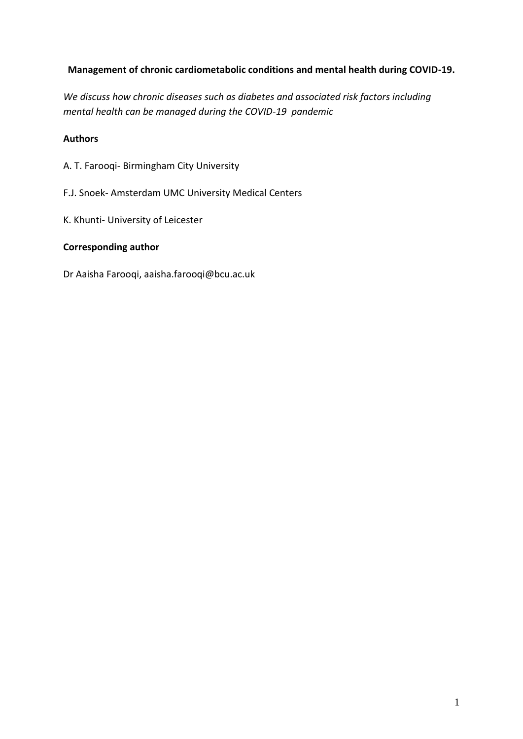# **Management of chronic cardiometabolic conditions and mental health during COVID-19.**

*We discuss how chronic diseases such as diabetes and associated risk factors including mental health can be managed during the COVID-19 pandemic*

# **Authors**

- A. T. Farooqi- Birmingham City University
- F.J. Snoek- Amsterdam UMC University Medical Centers
- K. Khunti- University of Leicester

# **Corresponding author**

Dr Aaisha Farooqi, aaisha.farooqi@bcu.ac.uk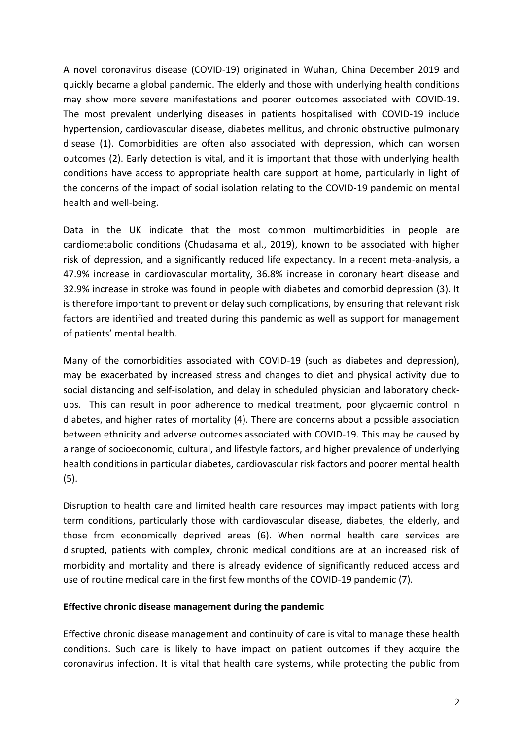A novel coronavirus disease (COVID-19) originated in Wuhan, China December 2019 and quickly became a global pandemic. The elderly and those with underlying health conditions may show more severe manifestations and poorer outcomes associated with COVID-19. The most prevalent underlying diseases in patients hospitalised with COVID-19 include hypertension, cardiovascular disease, diabetes mellitus, and chronic obstructive pulmonary disease (1). Comorbidities are often also associated with depression, which can worsen outcomes (2). Early detection is vital, and it is important that those with underlying health conditions have access to appropriate health care support at home, particularly in light of the concerns of the impact of social isolation relating to the COVID-19 pandemic on mental health and well-being.

Data in the UK indicate that the most common multimorbidities in people are cardiometabolic conditions (Chudasama et al., 2019), known to be associated with higher risk of depression, and a significantly reduced life expectancy. In a recent meta-analysis, a 47.9% increase in cardiovascular mortality, 36.8% increase in coronary heart disease and 32.9% increase in stroke was found in people with diabetes and comorbid depression (3). It is therefore important to prevent or delay such complications, by ensuring that relevant risk factors are identified and treated during this pandemic as well as support for management of patients' mental health.

Many of the comorbidities associated with COVID-19 (such as diabetes and depression), may be exacerbated by increased stress and changes to diet and physical activity due to social distancing and self-isolation, and delay in scheduled physician and laboratory checkups. This can result in poor adherence to medical treatment, poor glycaemic control in diabetes, and higher rates of mortality (4). There are concerns about a possible association between ethnicity and adverse outcomes associated with COVID-19. This may be caused by a range of socioeconomic, cultural, and lifestyle factors, and higher prevalence of underlying health conditions in particular diabetes, cardiovascular risk factors and poorer mental health (5).

Disruption to health care and limited health care resources may impact patients with long term conditions, particularly those with cardiovascular disease, diabetes, the elderly, and those from economically deprived areas (6). When normal health care services are disrupted, patients with complex, chronic medical conditions are at an increased risk of morbidity and mortality and there is already evidence of significantly reduced access and use of routine medical care in the first few months of the COVID-19 pandemic (7).

# **Effective chronic disease management during the pandemic**

Effective chronic disease management and continuity of care is vital to manage these health conditions. Such care is likely to have impact on patient outcomes if they acquire the coronavirus infection. It is vital that health care systems, while protecting the public from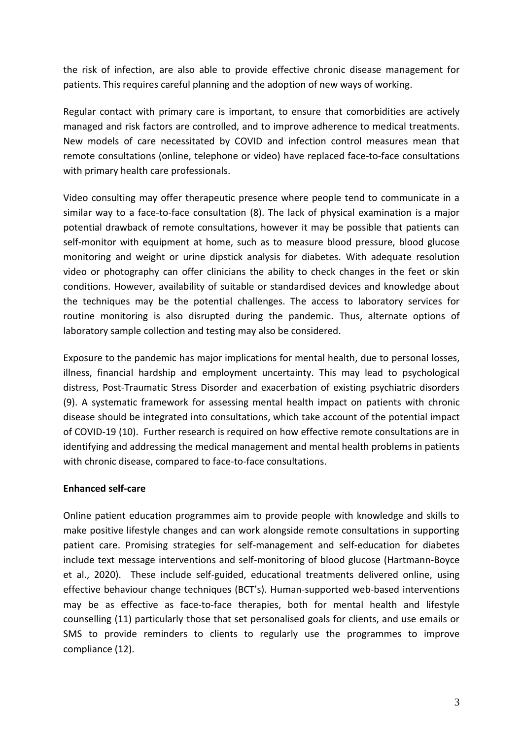the risk of infection, are also able to provide effective chronic disease management for patients. This requires careful planning and the adoption of new ways of working.

Regular contact with primary care is important, to ensure that comorbidities are actively managed and risk factors are controlled, and to improve adherence to medical treatments. New models of care necessitated by COVID and infection control measures mean that remote consultations (online, telephone or video) have replaced face-to-face consultations with primary health care professionals.

Video consulting may offer therapeutic presence where people tend to communicate in a similar way to a face-to-face consultation (8). The lack of physical examination is a major potential drawback of remote consultations, however it may be possible that patients can self-monitor with equipment at home, such as to measure blood pressure, blood glucose monitoring and weight or urine dipstick analysis for diabetes. With adequate resolution video or photography can offer clinicians the ability to check changes in the feet or skin conditions. However, availability of suitable or standardised devices and knowledge about the techniques may be the potential challenges. The access to laboratory services for routine monitoring is also disrupted during the pandemic. Thus, alternate options of laboratory sample collection and testing may also be considered.

Exposure to the pandemic has major implications for mental health, due to personal losses, illness, financial hardship and employment uncertainty. This may lead to psychological distress, Post-Traumatic Stress Disorder and exacerbation of existing psychiatric disorders (9). A systematic framework for assessing mental health impact on patients with chronic disease should be integrated into consultations, which take account of the potential impact of COVID-19 (10). Further research is required on how effective remote consultations are in identifying and addressing the medical management and mental health problems in patients with chronic disease, compared to face-to-face consultations.

# **Enhanced self-care**

Online patient education programmes aim to provide people with knowledge and skills to make positive lifestyle changes and can work alongside remote consultations in supporting patient care. Promising strategies for self-management and self-education for diabetes include text message interventions and self-monitoring of blood glucose (Hartmann-Boyce et al., 2020). These include self-guided, educational treatments delivered online, using effective behaviour change techniques (BCT's). Human-supported web-based interventions may be as effective as face-to-face therapies, both for mental health and lifestyle counselling (11) particularly those that set personalised goals for clients, and use emails or SMS to provide reminders to clients to regularly use the programmes to improve compliance (12).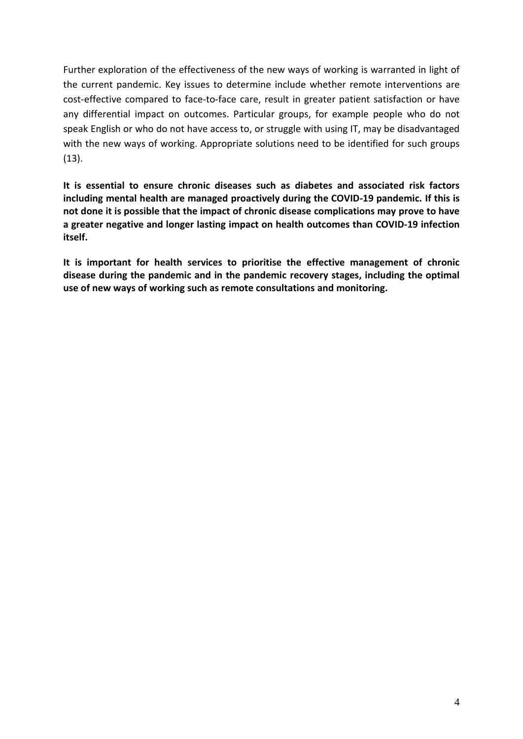Further exploration of the effectiveness of the new ways of working is warranted in light of the current pandemic. Key issues to determine include whether remote interventions are cost-effective compared to face-to-face care, result in greater patient satisfaction or have any differential impact on outcomes. Particular groups, for example people who do not speak English or who do not have access to, or struggle with using IT, may be disadvantaged with the new ways of working. Appropriate solutions need to be identified for such groups (13).

**It is essential to ensure chronic diseases such as diabetes and associated risk factors including mental health are managed proactively during the COVID-19 pandemic. If this is not done it is possible that the impact of chronic disease complications may prove to have a greater negative and longer lasting impact on health outcomes than COVID-19 infection itself.** 

**It is important for health services to prioritise the effective management of chronic disease during the pandemic and in the pandemic recovery stages, including the optimal use of new ways of working such as remote consultations and monitoring.**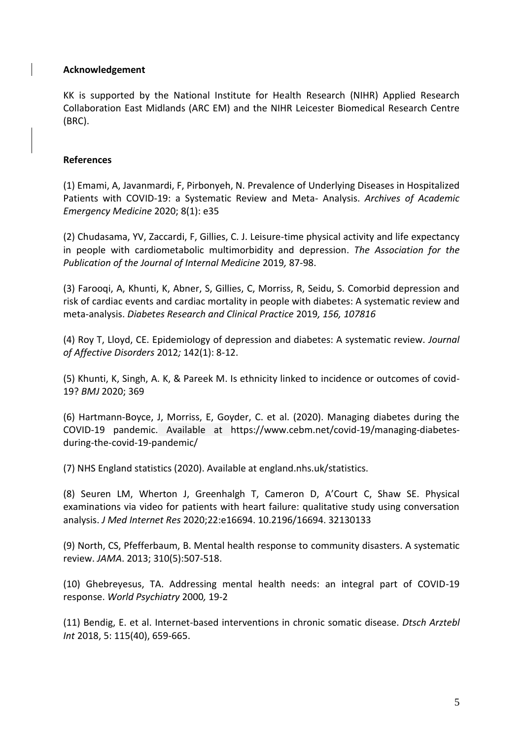#### **Acknowledgement**

KK is supported by the National Institute for Health Research (NIHR) Applied Research Collaboration East Midlands (ARC EM) and the NIHR Leicester Biomedical Research Centre (BRC).

#### **References**

(1) Emami, A, Javanmardi, F, Pirbonyeh, N. Prevalence of Underlying Diseases in Hospitalized Patients with COVID-19: a Systematic Review and Meta- Analysis. *Archives of Academic Emergency Medicine* 2020; 8(1): e35

(2) Chudasama, YV, Zaccardi, F, Gillies, C. J. Leisure-time physical activity and life expectancy in people with cardiometabolic multimorbidity and depression. *The Association for the Publication of the Journal of Internal Medicine* 2019*,* 87-98.

(3) Farooqi, A, Khunti, K, Abner, S, Gillies, C, Morriss, R, Seidu, S. Comorbid depression and risk of cardiac events and cardiac mortality in people with diabetes: A systematic review and meta-analysis. *Diabetes Research and Clinical Practice* 2019*, 156, 107816*

(4) Roy T, Lloyd, CE. Epidemiology of depression and diabetes: A systematic review. *Journal of Affective Disorders* 2012*;* 142(1): 8-12.

(5) Khunti, K, Singh, A. K, & Pareek M. Is ethnicity linked to incidence or outcomes of covid-19? *BMJ* 2020; 369

(6) Hartmann-Boyce, J, Morriss, E, Goyder, C. et al. (2020). Managing diabetes during the COVID-19 pandemic. Available at [https://www.cebm.net/covid-19/managing-diabetes](https://www.cebm.net/covid-19/managing-diabetes-during-the-covid-19-pandemic/)[during-the-covid-19-pandemic/](https://www.cebm.net/covid-19/managing-diabetes-during-the-covid-19-pandemic/)

(7) NHS England statistics (2020). Available at england.nhs.uk/statistics.

(8) Seuren LM, Wherton J, Greenhalgh T, Cameron D, A'Court C, Shaw SE. Physical examinations via video for patients with heart failure: qualitative study using conversation analysis. *J Med Internet Res* 2020;22:e16694. 10.2196/16694. 32130133

(9) North, CS, Pfefferbaum, B. Mental health response to community disasters. A systematic review. *JAMA*. 2013; 310(5):507-518.

(10) Ghebreyesus, TA. Addressing mental health needs: an integral part of COVID-19 response. *World Psychiatry* 2000*,* 19-2

(11) Bendig, E. et al. Internet-based interventions in chronic somatic disease. *Dtsch Arztebl Int* 2018, 5: 115(40), 659-665.